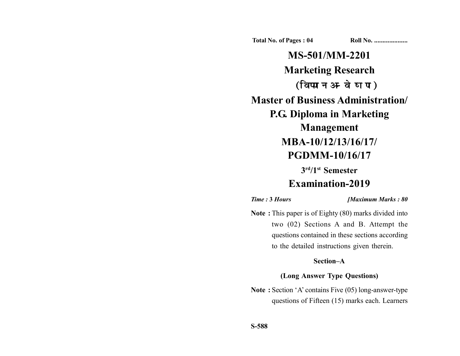**Total No. of Pages : 04 Roll No. ...................** 

**MS-501/MM-2201 Marketing Research** (विपणन अन्वेषण) **Master of Business Administration/ P.G. Diploma in Marketing Management MBA-10/12/13/16/17/ PGDMM-10/16/17**

**3rd/1st Semester**

# **Examination-2019**

*Time :* **3** *Hours [Maximum Marks : 80*

**Note :** This paper is of Eighty (80) marks divided into two (02) Sections A and B. Attempt the questions contained in these sections according to the detailed instructions given therein.

### **Section–A**

#### **(Long Answer Type Questions)**

**Note :** Section 'A' contains Five (05) long-answer-type questions of Fifteen (15) marks each. Learners